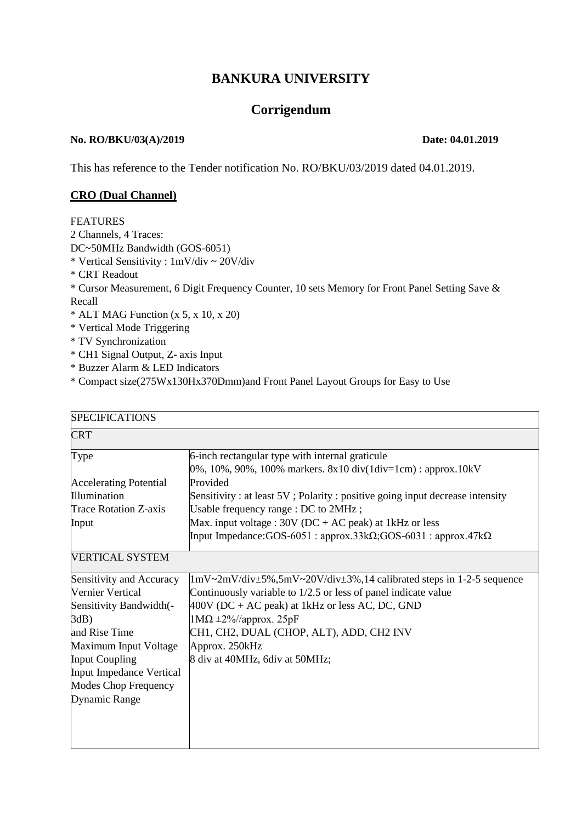# **BANKURA UNIVERSITY**

# **Corrigendum**

#### **No. RO/BKU/03(A)/2019 Date: 04.01.2019**

This has reference to the Tender notification No. RO/BKU/03/2019 dated 04.01.2019.

#### **CRO (Dual Channel)**

#### **FEATURES**

2 Channels, 4 Traces:

DC~50MHz Bandwidth (GOS-6051)

\* Vertical Sensitivity : 1mV/div ~ 20V/div

- \* CRT Readout
- \* Cursor Measurement, 6 Digit Frequency Counter, 10 sets Memory for Front Panel Setting Save & Recall
- $*$  ALT MAG Function (x 5, x 10, x 20)
- \* Vertical Mode Triggering
- \* TV Synchronization
- \* CH1 Signal Output, Z- axis Input
- \* Buzzer Alarm & LED Indicators
- \* Compact size(275Wx130Hx370Dmm)and Front Panel Layout Groups for Easy to Use

| <b>SPECIFICATIONS</b>         |                                                                                                                                                   |  |  |  |
|-------------------------------|---------------------------------------------------------------------------------------------------------------------------------------------------|--|--|--|
| <b>CRT</b>                    |                                                                                                                                                   |  |  |  |
| Type                          | 6-inch rectangular type with internal graticule                                                                                                   |  |  |  |
|                               | $0\%$ , 10%, 90%, 100% markers. 8x10 div(1div=1cm) : approx.10kV                                                                                  |  |  |  |
| <b>Accelerating Potential</b> | Provided                                                                                                                                          |  |  |  |
| Illumination                  | Sensitivity: at least 5V; Polarity: positive going input decrease intensity                                                                       |  |  |  |
| Trace Rotation Z-axis         | Usable frequency range : DC to 2MHz;                                                                                                              |  |  |  |
| Input                         | Max. input voltage : $30V$ (DC + AC peak) at 1kHz or less                                                                                         |  |  |  |
|                               | Input Impedance: GOS-6051: approx.33k $\Omega$ ; GOS-6031: approx.47k $\Omega$                                                                    |  |  |  |
| VERTICAL SYSTEM               |                                                                                                                                                   |  |  |  |
| Sensitivity and Accuracy      | $1 \text{mV} \sim 2 \text{mV} / \text{div} \pm 5\%$ , $5 \text{mV} \sim 20 \text{V} / \text{div} \pm 3\%$ , 14 calibrated steps in 1-2-5 sequence |  |  |  |
| Vernier Vertical              | Continuously variable to 1/2.5 or less of panel indicate value                                                                                    |  |  |  |
| Sensitivity Bandwidth(-       | $400V$ (DC + AC peak) at 1kHz or less AC, DC, GND                                                                                                 |  |  |  |
| $3dB$ )                       | $1\text{M}\Omega \pm 2\%/$ /approx. 25pF                                                                                                          |  |  |  |
| and Rise Time                 | CH1, CH2, DUAL (CHOP, ALT), ADD, CH2 INV                                                                                                          |  |  |  |
| Maximum Input Voltage         | Approx. 250kHz                                                                                                                                    |  |  |  |
| <b>Input Coupling</b>         | 8 div at 40MHz, 6div at 50MHz;                                                                                                                    |  |  |  |
| Input Impedance Vertical      |                                                                                                                                                   |  |  |  |
| <b>Modes Chop Frequency</b>   |                                                                                                                                                   |  |  |  |
| <b>Dynamic Range</b>          |                                                                                                                                                   |  |  |  |
|                               |                                                                                                                                                   |  |  |  |
|                               |                                                                                                                                                   |  |  |  |
|                               |                                                                                                                                                   |  |  |  |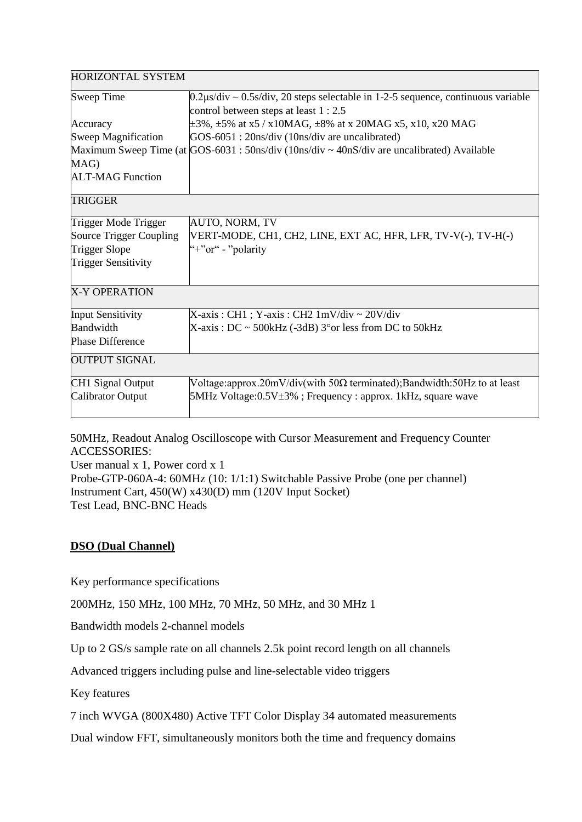| <b>HORIZONTAL SYSTEM</b>   |                                                                                                                                     |
|----------------------------|-------------------------------------------------------------------------------------------------------------------------------------|
| <b>Sweep Time</b>          | $0.2\mu s/div \sim 0.5s/div$ , 20 steps selectable in 1-2-5 sequence, continuous variable<br>control between steps at least 1 : 2.5 |
| Accuracy                   | $\pm 3\%$ , $\pm 5\%$ at x5 / x10MAG, $\pm 8\%$ at x 20MAG x5, x10, x20 MAG                                                         |
| Sweep Magnification        | GOS-6051 : 20ns/div (10ns/div are uncalibrated)                                                                                     |
|                            | Maximum Sweep Time (at $\frac{1}{100}$ GOS-6031 : 50ns/div (10ns/div $\sim$ 40nS/div are uncalibrated) Available                    |
| MAG)                       |                                                                                                                                     |
| <b>ALT-MAG Function</b>    |                                                                                                                                     |
| <b>TRIGGER</b>             |                                                                                                                                     |
| Trigger Mode Trigger       | AUTO, NORM, TV                                                                                                                      |
| Source Trigger Coupling    | VERT-MODE, CH1, CH2, LINE, EXT AC, HFR, LFR, TV-V(-), TV-H(-)                                                                       |
| <b>Trigger Slope</b>       | "+" $or$ " - "polarity"                                                                                                             |
| <b>Trigger Sensitivity</b> |                                                                                                                                     |
| <b>X-Y OPERATION</b>       |                                                                                                                                     |
| <b>Input Sensitivity</b>   | $X-axis : CH1 ; Y-axis : CH2 1mV/div \sim 20V/div$                                                                                  |
| Bandwidth                  | $X$ -axis: DC ~ 500kHz (-3dB) 3° or less from DC to 50kHz                                                                           |
| <b>Phase Difference</b>    |                                                                                                                                     |
| <b>OUTPUT SIGNAL</b>       |                                                                                                                                     |
| <b>CH1 Signal Output</b>   | Voltage: approx. $20mV/div$ (with 50 $\Omega$ terminated); Bandwidth: 50Hz to at least                                              |
| Calibrator Output          | $5MHz$ Voltage:0.5V $\pm$ 3%; Frequency : approx. 1kHz, square wave                                                                 |
|                            |                                                                                                                                     |

50MHz, Readout Analog Oscilloscope with Cursor Measurement and Frequency Counter ACCESSORIES:

User manual x 1, Power cord x 1 Probe-GTP-060A-4: 60MHz (10: 1/1:1) Switchable Passive Probe (one per channel) Instrument Cart, 450(W) x430(D) mm (120V Input Socket) Test Lead, BNC-BNC Heads

## **DSO (Dual Channel)**

Key performance specifications

200MHz, 150 MHz, 100 MHz, 70 MHz, 50 MHz, and 30 MHz 1

Bandwidth models 2-channel models

Up to 2 GS/s sample rate on all channels 2.5k point record length on all channels

Advanced triggers including pulse and line-selectable video triggers

Key features

7 inch WVGA (800X480) Active TFT Color Display 34 automated measurements

Dual window FFT, simultaneously monitors both the time and frequency domains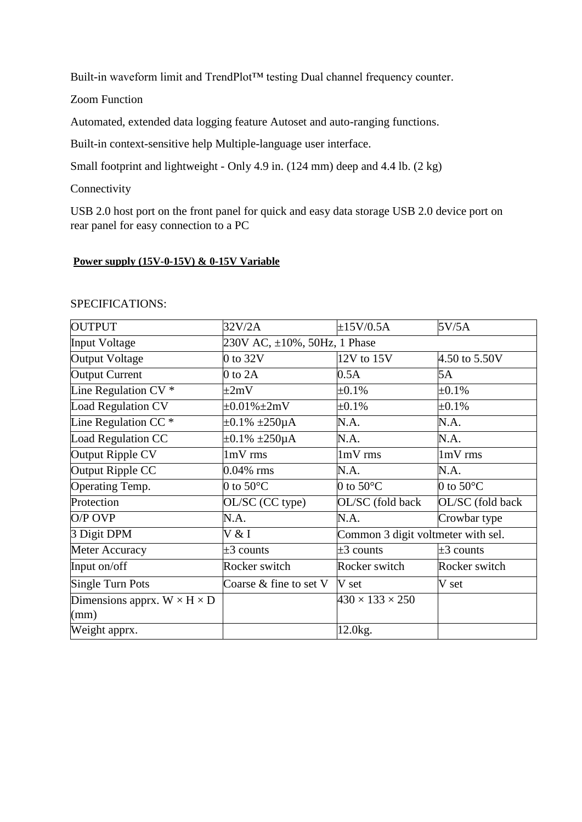Built-in waveform limit and TrendPlot™ testing Dual channel frequency counter.

Zoom Function

Automated, extended data logging feature Autoset and auto-ranging functions.

Built-in context-sensitive help Multiple-language user interface.

Small footprint and lightweight - Only 4.9 in. (124 mm) deep and 4.4 lb. (2 kg)

## **Connectivity**

USB 2.0 host port on the front panel for quick and easy data storage USB 2.0 device port on rear panel for easy connection to a PC

#### **Power supply (15V-0-15V) & 0-15V Variable**

| <b>OUTPUT</b>                           | 32V/2A                              | $\pm 15$ V/0.5A                    | 5V/5A               |
|-----------------------------------------|-------------------------------------|------------------------------------|---------------------|
| <b>Input Voltage</b>                    | 230V AC, $\pm 10\%$ , 50Hz, 1 Phase |                                    |                     |
| <b>Output Voltage</b>                   | $0$ to $32V$                        | 12V to 15V                         | 4.50 to 5.50V       |
| <b>Output Current</b>                   | $0$ to $2A$                         | 0.5A                               | 5A                  |
| Line Regulation $CV^*$                  | $\pm 2mV$                           | $\pm 0.1\%$                        | $\pm 0.1\%$         |
| <b>Load Regulation CV</b>               | $\pm 0.01\% \pm 2mV$                | $\pm 0.1\%$                        | $\pm 0.1\%$         |
| Line Regulation CC $*$                  | $\pm 0.1\%$ $\pm 250\mu A$          | N.A.                               | N.A.                |
| Load Regulation CC                      | $\pm 0.1\% \pm 250 \mu A$           | N.A.                               | N.A.                |
| Output Ripple CV                        | 1mV rms                             | 1mV rms                            | 1mV rms             |
| Output Ripple CC                        | $0.04\%$ rms                        | N.A.                               | N.A.                |
| Operating Temp.                         | 0 to 50 $\rm ^{\circ}C$             | 0 to 50 $\rm ^{\circ}C$            | 0 to $50^{\circ}$ C |
| Protection                              | OL/SC (CC type)                     | OL/SC (fold back                   | OL/SC (fold back    |
| $O/P$ OVP                               | N.A.                                | N.A.                               | Crowbar type        |
| 3 Digit DPM                             | V & I                               | Common 3 digit voltmeter with sel. |                     |
| Meter Accuracy                          | $\pm 3$ counts                      | $\pm 3$ counts                     | $\pm 3$ counts      |
| Input on/off                            | Rocker switch                       | Rocker switch                      | Rocker switch       |
| Single Turn Pots                        | Coarse $&$ fine to set $V$          | V set                              | V set               |
| Dimensions apprx. $W \times H \times D$ |                                     | $430 \times 133 \times 250$        |                     |
| (mm)                                    |                                     |                                    |                     |
| Weight apprx.                           |                                     | 12.0 <sub>kg</sub> .               |                     |

#### SPECIFICATIONS: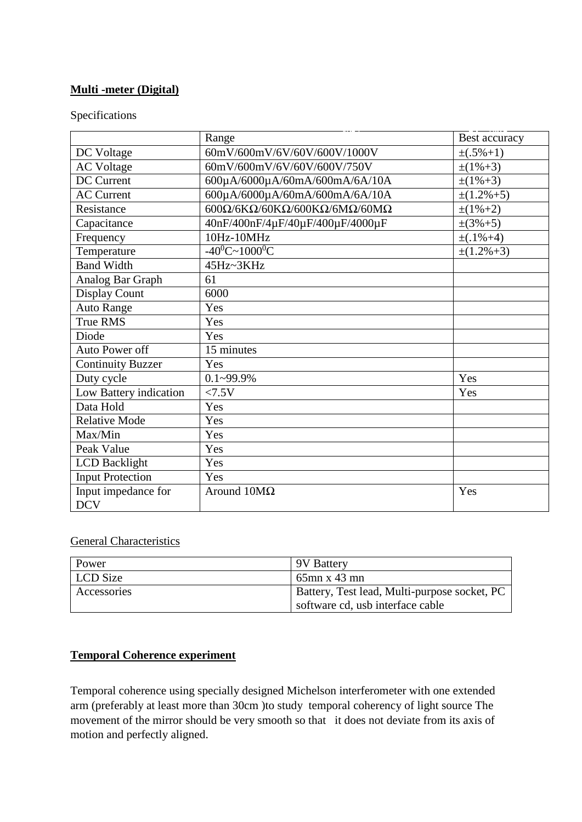## **Multi -meter (Digital)**

Specifications

|                          | Range                                                                             | Best accuracy    |
|--------------------------|-----------------------------------------------------------------------------------|------------------|
| DC Voltage               | 60mV/600mV/6V/60V/600V/1000V                                                      | $\pm (.5\% + 1)$ |
| <b>AC Voltage</b>        | 60mV/600mV/6V/60V/600V/750V                                                       | $\pm(1\% + 3)$   |
| <b>DC</b> Current        | 600μA/6000μA/60mA/600mA/6A/10A                                                    | $\pm(1\% + 3)$   |
| <b>AC Current</b>        | 600µA/6000µA/60mA/600mA/6A/10A                                                    | $\pm(1.2\% + 5)$ |
| Resistance               | 600 $\Omega$ /6K $\Omega$ /60K $\Omega$ /600K $\Omega$ /6M $\Omega$ /60M $\Omega$ | $\pm(1\% + 2)$   |
| Capacitance              | 40nF/400nF/4μF/40μF/400μF/4000μF                                                  | $\pm(3\% + 5)$   |
| Frequency                | 10Hz-10MHz                                                                        | $\pm(.1\% + 4)$  |
| Temperature              | $-40^0C - 1000^0C$                                                                | $\pm(1.2\% + 3)$ |
| <b>Band Width</b>        | 45Hz~3KHz                                                                         |                  |
| Analog Bar Graph         | 61                                                                                |                  |
| Display Count            | 6000                                                                              |                  |
| <b>Auto Range</b>        | Yes                                                                               |                  |
| True RMS                 | Yes                                                                               |                  |
| Diode                    | Yes                                                                               |                  |
| Auto Power off           | 15 minutes                                                                        |                  |
| <b>Continuity Buzzer</b> | Yes                                                                               |                  |
| Duty cycle               | $0.1 - 99.9\%$                                                                    | Yes              |
| Low Battery indication   | < 7.5V                                                                            | Yes              |
| Data Hold                | Yes                                                                               |                  |
| <b>Relative Mode</b>     | Yes                                                                               |                  |
| Max/Min                  | Yes                                                                               |                  |
| Peak Value               | Yes                                                                               |                  |
| <b>LCD</b> Backlight     | Yes                                                                               |                  |
| <b>Input Protection</b>  | Yes                                                                               |                  |
| Input impedance for      | Around $10M\Omega$                                                                | Yes              |
| <b>DCV</b>               |                                                                                   |                  |

## General Characteristics

| Power       | 9V Battery                                                                       |
|-------------|----------------------------------------------------------------------------------|
| LCD Size    | $65$ mn x 43 mn                                                                  |
| Accessories | Battery, Test lead, Multi-purpose socket, PC<br>software cd, usb interface cable |

## **Temporal Coherence experiment**

Temporal coherence using specially designed Michelson interferometer with one extended arm (preferably at least more than 30cm )to study temporal coherency of light source The movement of the mirror should be very smooth so that it does not deviate from its axis of motion and perfectly aligned.